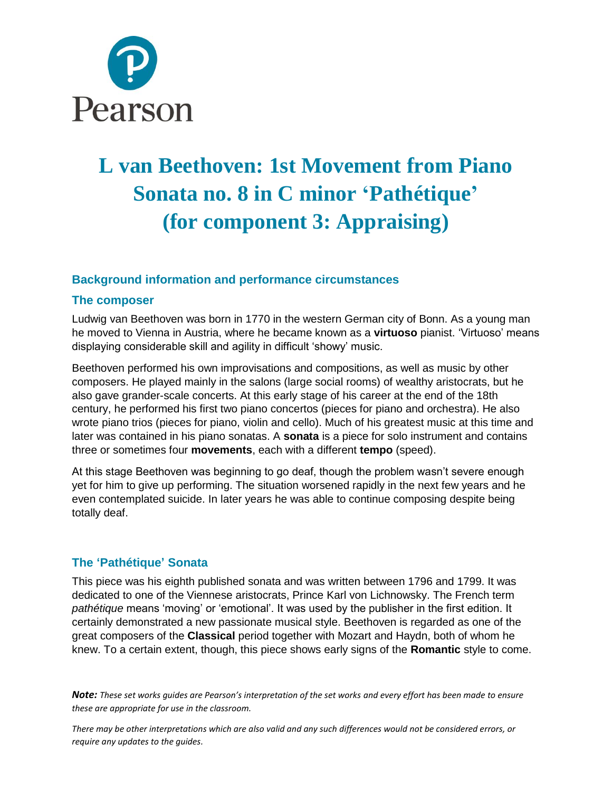

# **L van Beethoven: 1st Movement from Piano Sonata no. 8 in C minor 'Pathétique' (for component 3: Appraising)**

## **Background information and performance circumstances**

#### **The composer**

Ludwig van Beethoven was born in 1770 in the western German city of Bonn. As a young man he moved to Vienna in Austria, where he became known as a **virtuoso** pianist. 'Virtuoso' means displaying considerable skill and agility in difficult 'showy' music.

Beethoven performed his own improvisations and compositions, as well as music by other composers. He played mainly in the salons (large social rooms) of wealthy aristocrats, but he also gave grander-scale concerts. At this early stage of his career at the end of the 18th century, he performed his first two piano concertos (pieces for piano and orchestra). He also wrote piano trios (pieces for piano, violin and cello). Much of his greatest music at this time and later was contained in his piano sonatas. A **sonata** is a piece for solo instrument and contains three or sometimes four **movements**, each with a different **tempo** (speed).

At this stage Beethoven was beginning to go deaf, though the problem wasn't severe enough yet for him to give up performing. The situation worsened rapidly in the next few years and he even contemplated suicide. In later years he was able to continue composing despite being totally deaf.

## **The 'Pathétique' Sonata**

This piece was his eighth published sonata and was written between 1796 and 1799. It was dedicated to one of the Viennese aristocrats, Prince Karl von Lichnowsky. The French term *pathétique* means 'moving' or 'emotional'. It was used by the publisher in the first edition. It certainly demonstrated a new passionate musical style. Beethoven is regarded as one of the great composers of the **Classical** period together with Mozart and Haydn, both of whom he knew. To a certain extent, though, this piece shows early signs of the **Romantic** style to come.

*Note: These set works guides are Pearson's interpretation of the set works and every effort has been made to ensure these are appropriate for use in the classroom.*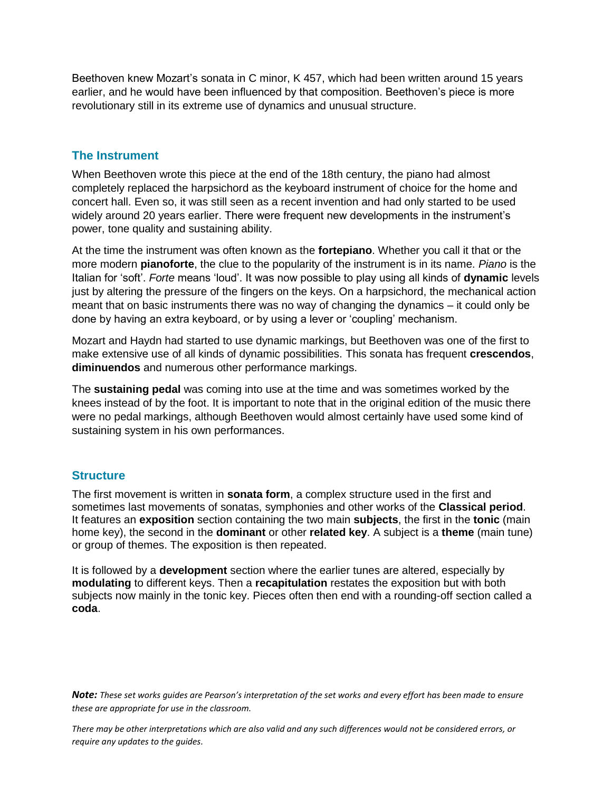Beethoven knew Mozart's sonata in C minor, K 457, which had been written around 15 years earlier, and he would have been influenced by that composition. Beethoven's piece is more revolutionary still in its extreme use of dynamics and unusual structure.

### **The Instrument**

When Beethoven wrote this piece at the end of the 18th century, the piano had almost completely replaced the harpsichord as the keyboard instrument of choice for the home and concert hall. Even so, it was still seen as a recent invention and had only started to be used widely around 20 years earlier. There were frequent new developments in the instrument's power, tone quality and sustaining ability.

At the time the instrument was often known as the **fortepiano**. Whether you call it that or the more modern **pianoforte**, the clue to the popularity of the instrument is in its name. *Piano* is the Italian for 'soft'. *Forte* means 'loud'. It was now possible to play using all kinds of **dynamic** levels just by altering the pressure of the fingers on the keys. On a harpsichord, the mechanical action meant that on basic instruments there was no way of changing the dynamics – it could only be done by having an extra keyboard, or by using a lever or 'coupling' mechanism.

Mozart and Haydn had started to use dynamic markings, but Beethoven was one of the first to make extensive use of all kinds of dynamic possibilities. This sonata has frequent **crescendos**, **diminuendos** and numerous other performance markings.

The **sustaining pedal** was coming into use at the time and was sometimes worked by the knees instead of by the foot. It is important to note that in the original edition of the music there were no pedal markings, although Beethoven would almost certainly have used some kind of sustaining system in his own performances.

#### **Structure**

The first movement is written in **sonata form**, a complex structure used in the first and sometimes last movements of sonatas, symphonies and other works of the **Classical period**. It features an **exposition** section containing the two main **subjects**, the first in the **tonic** (main home key), the second in the **dominant** or other **related key**. A subject is a **theme** (main tune) or group of themes. The exposition is then repeated.

It is followed by a **development** section where the earlier tunes are altered, especially by **modulating** to different keys. Then a **recapitulation** restates the exposition but with both subjects now mainly in the tonic key. Pieces often then end with a rounding-off section called a **coda**.

*Note: These set works guides are Pearson's interpretation of the set works and every effort has been made to ensure these are appropriate for use in the classroom.*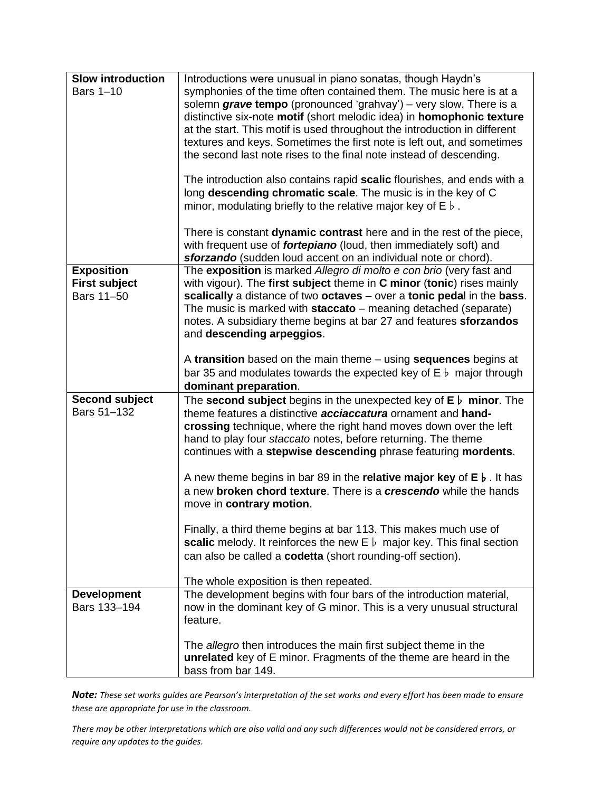| <b>Slow introduction</b>           | Introductions were unusual in piano sonatas, though Haydn's                                                                                                               |
|------------------------------------|---------------------------------------------------------------------------------------------------------------------------------------------------------------------------|
| <b>Bars 1-10</b>                   | symphonies of the time often contained them. The music here is at a                                                                                                       |
|                                    | solemn grave tempo (pronounced 'grahvay') - very slow. There is a                                                                                                         |
|                                    | distinctive six-note motif (short melodic idea) in homophonic texture                                                                                                     |
|                                    | at the start. This motif is used throughout the introduction in different<br>textures and keys. Sometimes the first note is left out, and sometimes                       |
|                                    | the second last note rises to the final note instead of descending.                                                                                                       |
|                                    |                                                                                                                                                                           |
|                                    | The introduction also contains rapid scalic flourishes, and ends with a                                                                                                   |
|                                    | long descending chromatic scale. The music is in the key of C                                                                                                             |
|                                    | minor, modulating briefly to the relative major key of $E \, \flat$ .                                                                                                     |
|                                    | There is constant dynamic contrast here and in the rest of the piece,                                                                                                     |
|                                    | with frequent use of <b>fortepiano</b> (loud, then immediately soft) and                                                                                                  |
|                                    | sforzando (sudden loud accent on an individual note or chord).                                                                                                            |
| <b>Exposition</b>                  | The exposition is marked Allegro di molto e con brio (very fast and                                                                                                       |
| <b>First subject</b><br>Bars 11-50 | with vigour). The first subject theme in C minor (tonic) rises mainly<br>scalically a distance of two octaves – over a tonic pedal in the bass.                           |
|                                    | The music is marked with staccato – meaning detached (separate)                                                                                                           |
|                                    | notes. A subsidiary theme begins at bar 27 and features sforzandos                                                                                                        |
|                                    | and descending arpeggios.                                                                                                                                                 |
|                                    |                                                                                                                                                                           |
|                                    | A transition based on the main theme – using sequences begins at                                                                                                          |
|                                    | bar 35 and modulates towards the expected key of $E \, \flat$ major through                                                                                               |
| <b>Second subject</b>              | dominant preparation.<br>The second subject begins in the unexpected key of $E \, \flat$ minor. The                                                                       |
| Bars 51-132                        | theme features a distinctive <b>acciaccatura</b> ornament and hand-                                                                                                       |
|                                    | crossing technique, where the right hand moves down over the left                                                                                                         |
|                                    | hand to play four staccato notes, before returning. The theme                                                                                                             |
|                                    | continues with a stepwise descending phrase featuring mordents.                                                                                                           |
|                                    |                                                                                                                                                                           |
|                                    | A new theme begins in bar 89 in the <b>relative major key</b> of $E \, \flat$ . It has<br>a new <b>broken chord texture</b> . There is a <b>crescendo</b> while the hands |
|                                    | move in contrary motion.                                                                                                                                                  |
|                                    |                                                                                                                                                                           |
|                                    | Finally, a third theme begins at bar 113. This makes much use of                                                                                                          |
|                                    | <b>scalic</b> melody. It reinforces the new $E \, \flat$ major key. This final section                                                                                    |
|                                    | can also be called a codetta (short rounding-off section).                                                                                                                |
|                                    | The whole exposition is then repeated.                                                                                                                                    |
| <b>Development</b>                 | The development begins with four bars of the introduction material,                                                                                                       |
| Bars 133-194                       | now in the dominant key of G minor. This is a very unusual structural                                                                                                     |
|                                    | feature.                                                                                                                                                                  |
|                                    |                                                                                                                                                                           |
|                                    | The allegro then introduces the main first subject theme in the<br>unrelated key of E minor. Fragments of the theme are heard in the                                      |
|                                    | bass from bar 149.                                                                                                                                                        |
|                                    |                                                                                                                                                                           |

*Note: These set works guides are Pearson's interpretation of the set works and every effort has been made to ensure these are appropriate for use in the classroom.*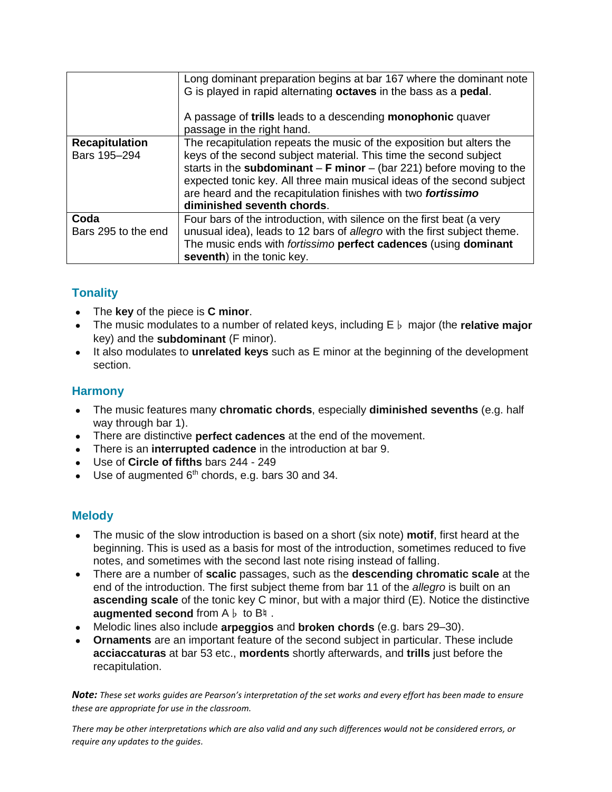|                       | Long dominant preparation begins at bar 167 where the dominant note<br>G is played in rapid alternating octaves in the bass as a pedal.<br>A passage of trills leads to a descending monophonic quaver<br>passage in the right hand. |
|-----------------------|--------------------------------------------------------------------------------------------------------------------------------------------------------------------------------------------------------------------------------------|
| <b>Recapitulation</b> | The recapitulation repeats the music of the exposition but alters the                                                                                                                                                                |
| Bars 195-294          | keys of the second subject material. This time the second subject                                                                                                                                                                    |
|                       | starts in the subdominant $-F$ minor $-(\text{bar } 221)$ before moving to the                                                                                                                                                       |
|                       | expected tonic key. All three main musical ideas of the second subject                                                                                                                                                               |
|                       | are heard and the recapitulation finishes with two fortissimo                                                                                                                                                                        |
|                       | diminished seventh chords.                                                                                                                                                                                                           |
| Coda                  | Four bars of the introduction, with silence on the first beat (a very                                                                                                                                                                |
| Bars 295 to the end   | unusual idea), leads to 12 bars of allegro with the first subject theme.                                                                                                                                                             |
|                       | The music ends with fortissimo perfect cadences (using dominant                                                                                                                                                                      |
|                       | seventh) in the tonic key.                                                                                                                                                                                                           |

# **Tonality**

- The **key** of the piece is **C minor**.
- The music modulates to a number of related keys, including E♭ major (the **relative major** key) and the **subdominant** (F minor).
- It also modulates to **unrelated keys** such as E minor at the beginning of the development section.

# **Harmony**

- The music features many **chromatic chords**, especially **diminished sevenths** (e.g. half way through bar 1).
- There are distinctive **perfect cadences** at the end of the movement.
- There is an **interrupted cadence** in the introduction at bar 9.
- Use of **Circle of fifths** bars 244 249
- $\bullet$  Use of augmented  $6<sup>th</sup>$  chords, e.g. bars 30 and 34.

## **Melody**

- The music of the slow introduction is based on a short (six note) **motif**, first heard at the beginning. This is used as a basis for most of the introduction, sometimes reduced to five notes, and sometimes with the second last note rising instead of falling.
- There are a number of **scalic** passages, such as the **descending chromatic scale** at the end of the introduction. The first subject theme from bar 11 of the *allegro* is built on an **ascending scale** of the tonic key C minor, but with a major third (E). Notice the distinctive **augmented second** from A♭ to B♮ .
- Melodic lines also include **arpeggios** and **broken chords** (e.g. bars 29–30).
- **Ornaments** are an important feature of the second subject in particular. These include **acciaccaturas** at bar 53 etc., **mordents** shortly afterwards, and **trills** just before the recapitulation.

*Note: These set works guides are Pearson's interpretation of the set works and every effort has been made to ensure these are appropriate for use in the classroom.*